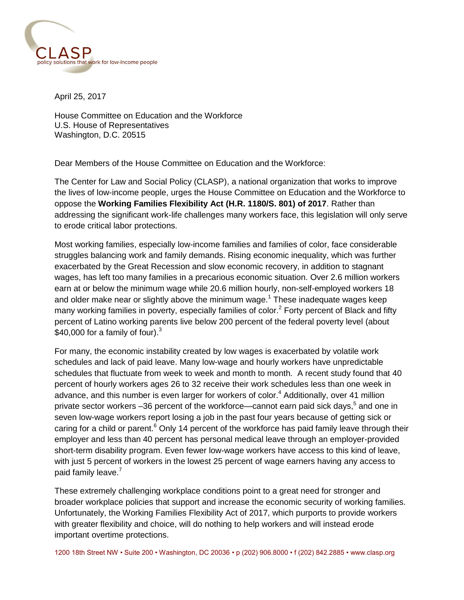

April 25, 2017

House Committee on Education and the Workforce U.S. House of Representatives Washington, D.C. 20515

Dear Members of the House Committee on Education and the Workforce:

The Center for Law and Social Policy (CLASP), a national organization that works to improve the lives of low-income people, urges the House Committee on Education and the Workforce to oppose the **Working Families Flexibility Act (H.R. 1180/S. 801) of 2017**. Rather than addressing the significant work-life challenges many workers face, this legislation will only serve to erode critical labor protections.

Most working families, especially low-income families and families of color, face considerable struggles balancing work and family demands. Rising economic inequality, which was further exacerbated by the Great Recession and slow economic recovery, in addition to stagnant wages, has left too many families in a precarious economic situation. Over 2.6 million workers earn at or below the minimum wage while 20.6 million hourly, non-self-employed workers 18 and older make near or slightly above the minimum wage.<sup>1</sup> These inadequate wages keep many working families in poverty, especially families of color.<sup>2</sup> Forty percent of Black and fifty percent of Latino working parents live below 200 percent of the federal poverty level (about \$40,000 for a family of four). $3$ 

For many, the economic instability created by low wages is exacerbated by volatile work schedules and lack of paid leave. Many low-wage and hourly workers have unpredictable schedules that fluctuate from week to week and month to month. A recent study found that 40 percent of hourly workers ages 26 to 32 receive their work schedules less than one week in advance, and this number is even larger for workers of color. <sup>4</sup> Additionally, over 41 million private sector workers -36 percent of the workforce--cannot earn paid sick days,<sup>5</sup> and one in seven low-wage workers report losing a job in the past four years because of getting sick or caring for a child or parent.<sup>6</sup> Only 14 percent of the workforce has paid family leave through their employer and less than 40 percent has personal medical leave through an employer-provided short-term disability program. Even fewer low-wage workers have access to this kind of leave, with just 5 percent of workers in the lowest 25 percent of wage earners having any access to paid family leave.<sup>7</sup>

These extremely challenging workplace conditions point to a great need for stronger and broader workplace policies that support and increase the economic security of working families. Unfortunately, the Working Families Flexibility Act of 2017, which purports to provide workers with greater flexibility and choice, will do nothing to help workers and will instead erode important overtime protections.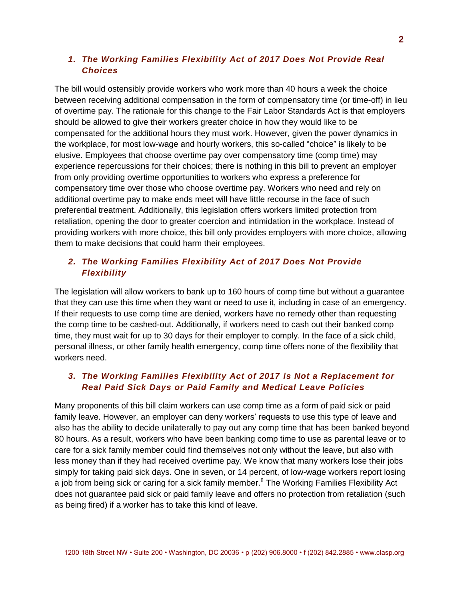#### *1. The Working Families Flexibility Act of 2017 Does Not Provide Real Choices*

The bill would ostensibly provide workers who work more than 40 hours a week the choice between receiving additional compensation in the form of compensatory time (or time-off) in lieu of overtime pay. The rationale for this change to the Fair Labor Standards Act is that employers should be allowed to give their workers greater choice in how they would like to be compensated for the additional hours they must work. However, given the power dynamics in the workplace, for most low-wage and hourly workers, this so-called "choice" is likely to be elusive. Employees that choose overtime pay over compensatory time (comp time) may experience repercussions for their choices; there is nothing in this bill to prevent an employer from only providing overtime opportunities to workers who express a preference for compensatory time over those who choose overtime pay. Workers who need and rely on additional overtime pay to make ends meet will have little recourse in the face of such preferential treatment. Additionally, this legislation offers workers limited protection from retaliation, opening the door to greater coercion and intimidation in the workplace. Instead of providing workers with more choice, this bill only provides employers with more choice, allowing them to make decisions that could harm their employees.

## *2. The Working Families Flexibility Act of 2017 Does Not Provide Flexibility*

The legislation will allow workers to bank up to 160 hours of comp time but without a guarantee that they can use this time when they want or need to use it, including in case of an emergency. If their requests to use comp time are denied, workers have no remedy other than requesting the comp time to be cashed-out. Additionally, if workers need to cash out their banked comp time, they must wait for up to 30 days for their employer to comply. In the face of a sick child, personal illness, or other family health emergency, comp time offers none of the flexibility that workers need.

## *3. The Working Families Flexibility Act of 2017 is Not a Replacement for Real Paid Sick Days or Paid Family and Medical Leave Policies*

Many proponents of this bill claim workers can use comp time as a form of paid sick or paid family leave. However, an employer can deny workers' requests to use this type of leave and also has the ability to decide unilaterally to pay out any comp time that has been banked beyond 80 hours. As a result, workers who have been banking comp time to use as parental leave or to care for a sick family member could find themselves not only without the leave, but also with less money than if they had received overtime pay. We know that many workers lose their jobs simply for taking paid sick days. One in seven, or 14 percent, of low-wage workers report losing a job from being sick or caring for a sick family member.<sup>8</sup> The Working Families Flexibility Act does not guarantee paid sick or paid family leave and offers no protection from retaliation (such as being fired) if a worker has to take this kind of leave.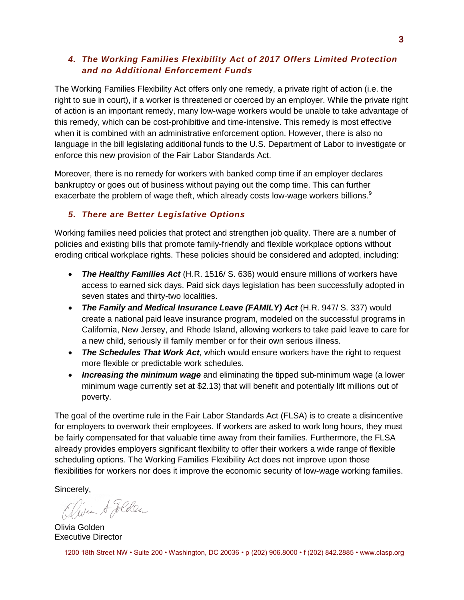# *4. The Working Families Flexibility Act of 2017 Offers Limited Protection and no Additional Enforcement Funds*

The Working Families Flexibility Act offers only one remedy, a private right of action (i.e. the right to sue in court), if a worker is threatened or coerced by an employer. While the private right of action is an important remedy, many low-wage workers would be unable to take advantage of this remedy, which can be cost-prohibitive and time-intensive. This remedy is most effective when it is combined with an administrative enforcement option. However, there is also no language in the bill legislating additional funds to the U.S. Department of Labor to investigate or enforce this new provision of the Fair Labor Standards Act.

Moreover, there is no remedy for workers with banked comp time if an employer declares bankruptcy or goes out of business without paying out the comp time. This can further exacerbate the problem of wage theft, which already costs low-wage workers billions.<sup>9</sup>

# *5. There are Better Legislative Options*

Working families need policies that protect and strengthen job quality. There are a number of policies and existing bills that promote family-friendly and flexible workplace options without eroding critical workplace rights. These policies should be considered and adopted, including:

- *The Healthy Families Act* (H.R. 1516/ S. 636) would ensure millions of workers have access to earned sick days. Paid sick days legislation has been successfully adopted in seven states and thirty-two localities.
- *The Family and Medical Insurance Leave (FAMILY) Act* (H.R. 947/ S. 337) would create a national paid leave insurance program, modeled on the successful programs in California, New Jersey, and Rhode Island, allowing workers to take paid leave to care for a new child, seriously ill family member or for their own serious illness.
- *The Schedules That Work Act*, which would ensure workers have the right to request more flexible or predictable work schedules.
- *Increasing the minimum wage* and eliminating the tipped sub-minimum wage (a lower minimum wage currently set at \$2.13) that will benefit and potentially lift millions out of poverty.

The goal of the overtime rule in the Fair Labor Standards Act (FLSA) is to create a disincentive for employers to overwork their employees. If workers are asked to work long hours, they must be fairly compensated for that valuable time away from their families. Furthermore, the FLSA already provides employers significant flexibility to offer their workers a wide range of flexible scheduling options. The Working Families Flexibility Act does not improve upon those flexibilities for workers nor does it improve the economic security of low-wage working families.

Sincerely,

Olivia A Jolden

Olivia Golden Executive Director

1200 18th Street NW • Suite 200 • Washington, DC 20036 • p (202) 906.8000 • f (202) 842.2885 • www.clasp.org